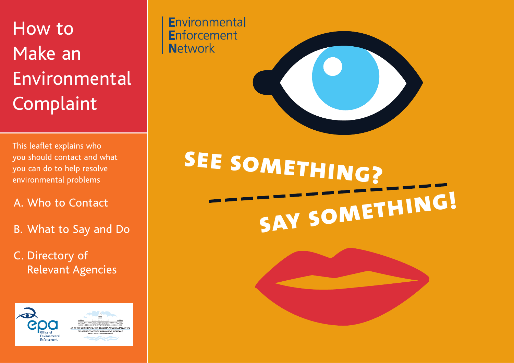## How to Make an Environmental Complaint

This leaflet explains who you should contact and what you can do to help resolve

## A. Who to Contact

- B. What to Say and Do
- C. Directory of Relevant Agencies



Environmental **Enforcement Network** 



you should contact and what<br>you can do to help resolve<br>environmental problems **say something!**

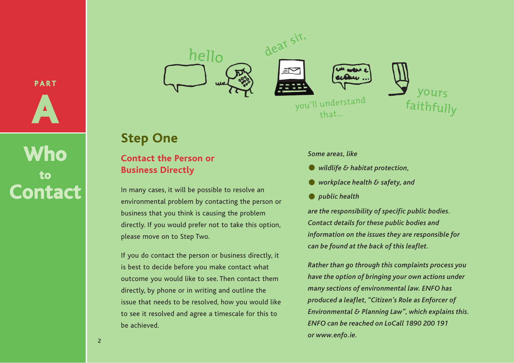**PART A**

**Who to Contact**







## **Step One**

#### **Contact the Person or Business Directly**

In many cases, it will be possible to resolve an environmental problem by contacting the person or business that you think is causing the problem directly. If you would prefer not to take this option, please move on to Step Two.

If you do contact the person or business directly, it is best to decide before you make contact what outcome you would like to see. Then contact them directly, by phone or in writing and outline the issue that needs to be resolved, how you would like to see it resolved and agree a timescale for this to be achieved.

#### *Some areas, like*

- *wildlife & habitat protection,*
- *work place health & safety, and*
- *public health*

*are the responsibility of specific public bodies. Contact details for these public bodies and information on the issues they are responsible for can be found at the back of this leaflet.* 

*Rather than go through this complaints process you have the option of bringing your own actions under many sections of environmental law. ENFO has produced a leaflet, "Citizen's Role as Enforcer of Environmental & Planning Law", which explains this. ENFO can be reached on LoCall 1890 200 191 or www.enfo.ie.*

2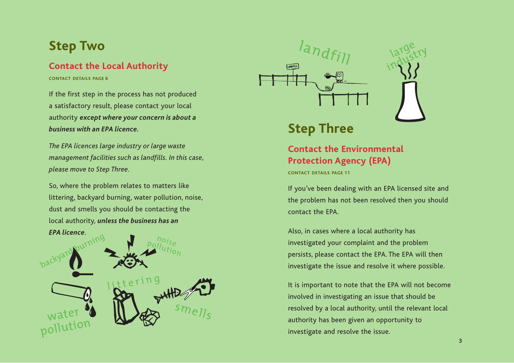## **Step Two**

#### **Contact the Local Authority**

**CONTACT DETAILS PAGE 6**

If the first step in the process has not produced a satisfactory result, please contact your local authority *except where your concern is about a business with an EPA licence.*

*The EPA licences large industry or large waste management facilities such as landfills. In this case, please move to Step Three.*

So, where the problem relates to matters like littering, backyard burning, water pollution, noise, dust and smells you should be contacting the local authority, *unless the business has an* 





## **Step Three**

### **Contact the Environmental Protection Agency (EPA)**

**CONTACT DETAILS PAGE 11**

If you've been dealing with an EPA licensed site and the problem has not been resolved then you should contact the EPA.

large lary try

Also, in cases where a local authority has investigated your complaint and the problem persists, please contact the EPA. The EPA will then investigate the issue and resolve it where possible.

It is important to note that the EPA will not become involved in investigating an issue that should be resolved by a local authority, until the relevant local authority has been given an opportunity to investigate and resolve the issue.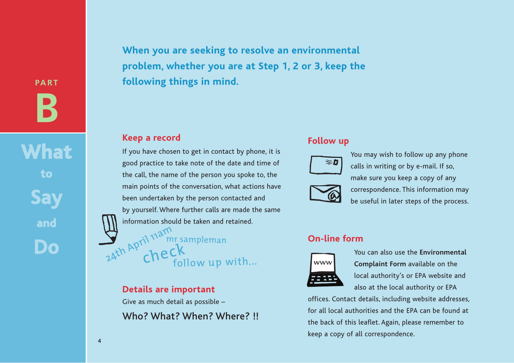**PART B**

**What to Say and Do**

**When you are seeking to resolve an environmental problem, whether you are at Step 1, 2 or 3, keep the following things in mind.**

#### **Keep a record**

If you have chosen to get in contact by phone, it is good practice to take note of the date and time of the call, the name of the person you spoke to, the main points of the conversation, what actions have been undertaken by the person contacted and by yourself. Where further calls are made the same information should be taken and retained.

24th April 11am sampleman<br>24th April 11am sampleman<br>follow up with...

#### **Details are important**

Give as much detail as possible –

Who? What? When? Where? !!

#### **Follow up**



You may wish to follow up any phone calls in writing or by e-mail. If so, make sure you keep a copy of any correspondence. This information may be useful in later steps of the process.

#### **On-line form**



You can also use the **Environmental Complaint Form** available on the local authority's or EPA website and also at the local authority or EPA

offices. Contact details, including website addresses, for all local authorities and the EPA can be found at the back of this leaflet. Again, please remember to keep a copy of all correspondence.

4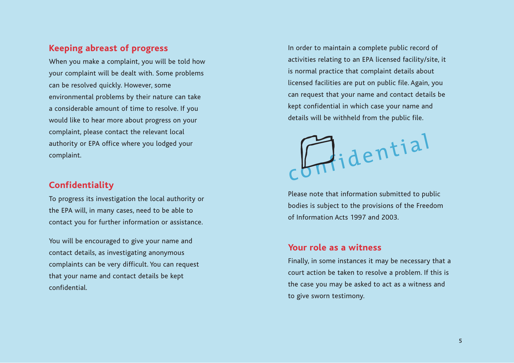#### **Keeping abreast of progress**

When you make a complaint, you will be told how your complaint will be dealt with. Some problems can be resolved quickly. However, some environmental problems by their nature can take a considerable amount of time to resolve. If you would like to hear more about progress on your complaint, please contact the relevant local authority or EPA office where you lodged your complaint.

#### **Confidentiality**

To progress its investigation the local authority or the EPA will, in many cases, need to be able to contact you for further information or assistance.

You will be encouraged to give your name and contact details, as investigating anonymous complaints can be very difficult. You can request that your name and contact details be kept confidential.

In order to maintain a complete public record of activities relating to an EPA licensed facility/site, it is normal practice that complaint details about licensed facilities are put on public file. Again, you can request that your name and contact details be kept confidential in which case your name and details will be withheld from the public file.

**L**<br>didential

Please note that information submitted to public bodies is subject to the provisions of the Freedom of Information Acts 1997 and 2003.

#### **Your role as a witness**

Finally, in some instances it may be necessary that a court action be taken to resolve a problem. If this is the case you may be asked to act as a witness and to give sworn testimony.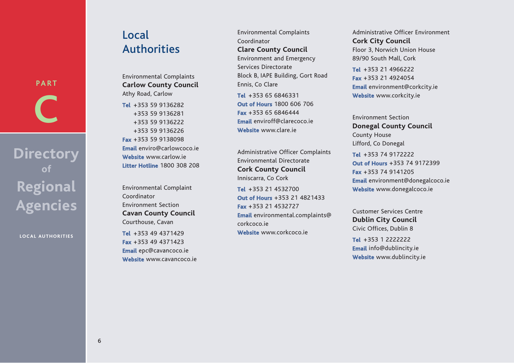# **PART C**

## **Directory of Regional Agencies**

**LOCAL AUTHORITIES**

## Local **Authorities**

Environmental Complaints **Carlow County Council** Athy Road, Carlow

**Tel** +353 59 9136282 +353 59 9136281 +353 59 9136222 +353 59 9136226 **Fax** +353 59 9138098 **Email** enviro@carlowcoco.ie **Website** www.carlow.ie **Litter Hotline** 1800 308 208

Environmental Complaint Coordinator Environment Section **Cavan County Council** Courthouse, Cavan

**Tel** +353 49 4371429 **Fax** +353 49 4371423 **Email** epc@cavancoco.ie **Website** www.cavancoco.ie Environmental Complaints Coordinator **Clare County Council** Environment and Emergency Services Directorate Block B, IAPE Building, Gort Road Ennis, Co Clare **Tel** +353 65 6846331

**Out of Hours** 1800 606 706 **Fax** +353 65 6846444 **Email** enviroff@clarecoco.ie **Website** www.clare.ie

Administrative Officer Complaints Environmental Directorate **Cork County Council** Inniscarra, Co Cork

**Tel** +353 21 4532700 **Out of Hours** +353 21 4821433 **Fax** +353 21 4532727 **Email** environmental.complaints@ corkcoco.ie **Website** www.corkcoco.ie

Administrative Officer Environment **Cork City Council** Floor 3, Norwich Union House 89/90 South Mall, Cork

**Tel** +353 21 4966222 **Fax** +353 21 4924054 **Email** environment@corkcity.ie **Website** www.corkcity.ie

Environment Section **Donegal County Council** County House Lifford, Co Donegal

**Tel** +353 74 9172222 **Out of Hours** +353 74 9172399 **Fax** +353 74 9141205 **Email** environment@donegalcoco.ie **Website** www.donegalcoco.ie

Customer Services Centre **Dublin City Council** Civic Offices, Dublin 8

**Tel** +353 1 2222222 **Email** info@dublincity.ie **Website** www.dublincity.ie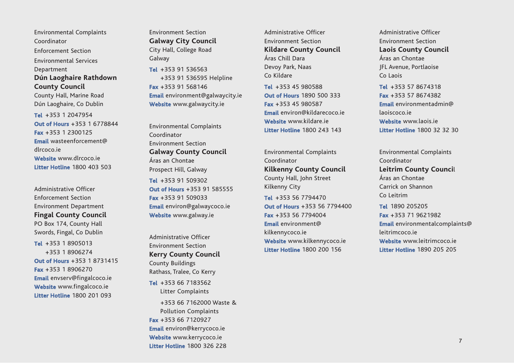Environmental Complaints Coordinator Enforcement Section Environmental Services Department **Dún Laoghaire Rathdown County Council**

County Hall, Marine Road Dún Laoghaire, Co Dublin

**Tel** +353 1 2047954 **Out of Hours** +353 1 6778844 **Fax** +353 1 2300125 **Email** wasteenforcement@ dlrcoco.ie **Website** www.dlrcoco.ie **Litter Hotline** 1800 403 503

Administrative Officer Enforcement Section Environment Department **Fingal County Council** PO Box 174, County Hall Swords, Fingal, Co Dublin

**Tel** +353 1 8905013 +353 1 8906274 **Out of Hours** +353 1 8731415 **Fax** +353 1 8906270 **Email** envserv@fingalcoco.ie **Website** www.fingalcoco.ie **Litter Hotline** 1800 201 093

Environment Section **Galway City Council** City Hall, College Road Galway

**Tel** +353 91 536563 +353 91 536595 Helpline **Fax** +353 91 568146 **Email** environment@galwaycity.ie **Website** www.galwaycity.ie

Environmental Complaints Coordinator Environment Section **Galway County Council**  Áras an Chontae Prospect Hill, Galway

**Tel** +353 91 509302 **Out of Hours** +353 91 585555 **Fax** +353 91 509033 **Email** environ@galwaycoco.ie **Website** www.galway.ie

Administrative Officer Environment Section **Kerry County Council** County Buildings Rathass, Tralee, Co Kerry

**Tel** +353 66 7183562 Litter Complaints

+353 66 7162000 Waste & Pollution Complaints **Fax** +353 66 7120927 **Email** environ@kerrycoco.ie **Website** www.kerrycoco.ie **Litter Hotline** 1800 326 228

Administrative Officer Environment Section **Kildare County Council**  Áras Chill Dara Devoy Park, Naas Co Kildare

**Tel** +353 45 980588 **Out of Hours** 1890 500 333 **Fax** +353 45 980587 **Email** environ@kildarecoco.ie **Website** www.kildare.ie **Litter Hotline** 1800 243 143

Environmental Complaints Coordinator **Kilkenny County Council**  County Hall, John Street Kilkenny City

**Tel** +353 56 7794470 **Out of Hours** +353 56 7794400 **Fax** +353 56 7794004 **Email** environment@ kilkennycoco.ie **Website** www.kilkennycoco.ie **Litter Hotline** 1800 200 156

Administrative Officer Environment Section **Laois County Council** Áras an Chontae JFL Avenue, Portlaoise Co Laois

**Tel** +353 57 8674318 **Fax** +353 57 8674382 **Email** environmentadmin@ laoiscoco.ie **Website** www.laois.ie **Litter Hotline** 1800 32 32 30

Environmental Complaints Coordinator **Leitrim County Counci**l Áras an Chontae Carrick on Shannon Co Leitrim

**Tel** 1890 205205 **Fax** +353 71 9621982 **Email** environmentalcomplaints@ leitrimcoco.ie **Website** www.leitrimcoco.ie **Litter Hotline** 1890 205 205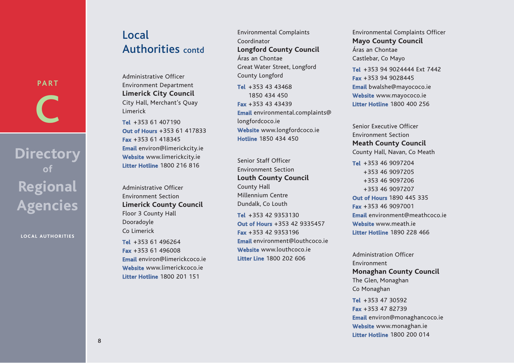## Local Authorities contd

Administrative Officer Environment Department **Limerick City Council** City Hall, Merchant's Quay Limerick

**Tel** +353 61 407190 **Ou t of H ours** +353 61 417833 **F a x** +353 61 418345 **Em ail** environ@limerickcity.ie **Websi t e** www.limerickcity.ie **Litter Hotli n e** 1800 216 816

Administrative Officer Environment Section **Limerick County Council** Floor 3 County Hall Dooradoyle Co Limerick

**Tel** +353 61 496264 **Fax** +353 61 496008 **Em ail** environ@limerickcoco.ie **Websi t e** www.limerickcoco.ie **Litter Hotli n e** 1800 201 151

Environmental Complaints Coordinator **Longford County Council**  Áras an Chontae Great Water Street, Longford County Longford **Tel** +353 43 43468 1850 434 450 **F a x** +353 43 43439 **Em ail** environmental.complaints@ longfordcoco.ie **Websi t e** www.longfordcoco.ie

Senior Staff Officer Environment Section **Louth County Council** County Hall Millennium Centre Dundalk, Co Louth **Tel** +353 42 9353130 **Ou t of H ours** +353 42 9335457 **F a x** +353 42 9353196 **Em ail** environment@louthcoco.ie **Websi t e** www.louthcoco.ie **Litter Li n e** 1800 202 606

**Hotli n e** 1850 434 450

Environmental Complaints Officer **Mayo County Council**  Áras an Chontae Castlebar, Co Mayo

**Tel** +353 94 9024444 Ext 7442 **Fax** +353 94 9028445 **Em ail** bwalshe@mayococo.ie **Websi t e** www.mayococo.ie **Litter Hotli n e** 1800 400 256

Senior Executive Officer Environment Section **Meath County Council** County Hall, Navan, Co Meath

**Tel** +353 46 9097204 +353 46 9097205 +353 46 9097206 +353 46 9097207 **Ou t of H ours** 1890 445 335 **F a x** +353 46 9097001 **Em ail** environment@meathcoco.ie **Websi t e** www.meath.ie **Litter Hotli n e** 1890 228 466

Administration Officer Environment **Monaghan County Council** The Glen, Monaghan Co Monaghan **Tel** +353 47 30592 **Fax** +353 47 82739 **Em ail** environ@monaghancoco.ie **Websi t e** www.monaghan.ie **Litter Hotli n e** 1800 200 014

**Directory of Regional Agencies**

**PART**

**C**

**LOCAL AUTHORITIES**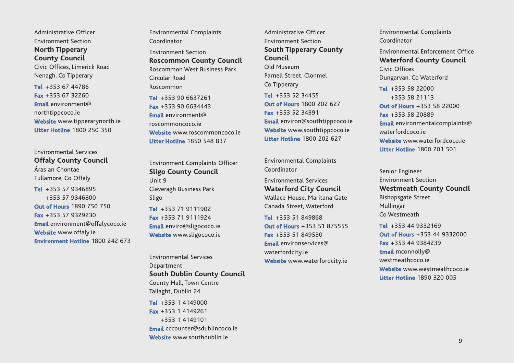Administrative Officer Environment Section **North Tipperary County Council**

Civic Offices, Limerick Road Nenagh, Co Tipperary

**Tel** +353 67 44786 **Fax** +353 67 32260 **Email** environment@ northtippcoco.ie **Website** www.tipperarynorth.ie **Litter Hotline** 1800 250 350

Environmental Services **Offaly County Council** Áras an Chontae Tullamore, Co Offaly **Tel** +353 57 9346895 +353 57 9346800 **Out of Hours** 1890 750 750 **Fax** +353 57 9329230 **Email** environment@offalycoco.ie **Website** www.offaly.ie **Environment Hotline** 1800 242 673 Environmental Complaints Coordinator Environment Section **Roscommon County Council** Roscommon West Business Park Circular Road Roscommon **Tel** +353 90 6637261 **Fax** +353 90 6634443 **Email** environment@ roscommoncoco.ie **Website** www.roscommoncoco.ie

Environment Complaints Officer **Sligo County Council** Unit 9 Cleveragh Business Park Sligo **Tel** +353 71 9111902 **Fax** +353 71 9111924 **Email** enviro@sligococo.ie **Website** www.sligococo.ie

**Litter Hotline** 1850 548 837

Environmental Services Department **South Dublin County Council**  County Hall, Town Centre Tallaght, Dublin 24

**Tel** +353 1 4149000 **Fax** +353 1 4149261 +353 1 4149101 **Email** cccounter@sdublincoco.ie **Website** www.southdublin.ie

Administrative Officer Environment Section **South Tipperary County Council**  Old Museum Parnell Street, Clonmel Co Tipperary **Tel** +353 52 34455 **Out of Hours** 1800 202 627 **Fax** +353 52 34391 **Email** environ@southtippcoco.ie **Website** www.southtippcoco.ie **Litter Hotline** 1800 202 627

Environmental Complaints Coordinator

Environmental Services **Waterford City Council** Wallace House, Maritana Gate Canada Street, Waterford

**Tel** +353 51 849868 **Out of Hours** +353 51 875555 **Fax** +353 51 849530 **Email** environservices@ waterfordcity.ie **Website** www.waterfordcity.ie

Environmental Complaints Coordinator

Environmental Enforcement Office **Waterford County Council**  Civic Offices Dungarvan, Co Waterford **Tel** +353 58 22000 +353 58 21113 **Out of Hours** +353 58 22000 **Fax** +353 58 20889 **Email** environmentalcomplaints@ waterfordcoco.ie **Website** www.waterfordcoco.ie **Litter Hotline** 1800 201 501

Senior Engineer Environment Section **Westmeath County Council** Bishopsgate Street Mullingar Co Westmeath

**Tel** +353 44 9332169 **Out of Hours** +353 44 9332000 **Fax** +353 44 9384239 **Email** mconnolly@ westmeathcoco.ie **Website** www.westmeathcoco.ie **Litter Hotline** 1890 320 005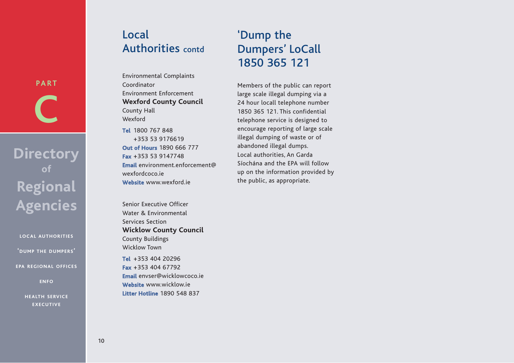## Local Authorities contd

Environmental Complaints Coordinator Environment Enforcement **Wexford County Council** County Hall Wexford

**Tel** 1800 767 848 +353 53 9176619 **Out of Hours** 1890 666 777 **Fax** +353 53 9147748 **Email** environment.enforcement@ wexfordcoco.ie **Website** www.wexford.ie

Senior Executive Officer Water & Environmental Services Section **Wicklow County Council** County Buildings Wicklow Town **Tel** +353 404 20296

**Fax** +353 404 67792 **Email** envser@wicklowcoco.ie **Website** www.wicklow.ie **Litter Hotline** 1890 548 837

## 'Dump the Dumpers' LoCall 1850 365 121

Members of the public can report large scale illegal dumping via a 24 hour locall telephone number 1850 365 121. This confidential telephone service is designed to encourage reporting of large scale illegal dumping of waste or of abandoned illegal dumps. Local authorities, An Garda Síochána and the EPA will follow up on the information provided by the public, as appropriate.

**Directory of Regional Agencies**

**PART**

**C**

**LOCAL AUTHORITIES 'DUMP THE DUMPERS'**

**EPA REGIONAL OFFICES**

**ENFO**

**HEALTH SERVICE EXECUTIVE**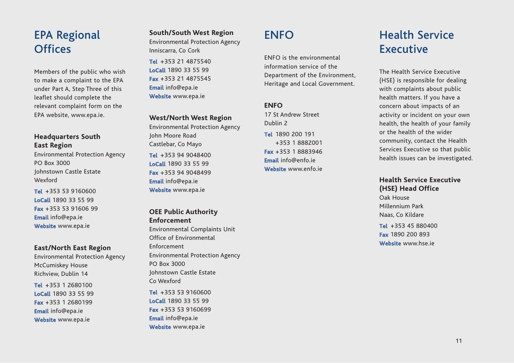## EPA Regional **Offices**

Members of the public who wish to make a complaint to the EPA under Part A, Step Three of this leaflet should complete the relevant complaint form on the EPA website, www.epa.ie.

#### **Headquarters South East Region**

Environmental Protection Agency PO Box 3000 Johnstown Castle Estate Wexford

**Tel** +353 53 9160600 **LoCall** 1890 33 55 99 **Fax** +353 53 91606 99 **Email** info@epa.ie **Website** www.epa.ie

#### **East/North East Region**

Environmental Protection Agency McCumiskey House Richview, Dublin 14

**Tel** +353 1 2680100 **LoCall** 1890 33 55 99 **Fax** +353 1 2680199 **Email** info@epa.ie **Website** www.epa.ie

#### **South/South West Region** Environmental Protection Agency Inniscarra, Co Cork

**Tel** +353 21 4875540 **LoCall** 1890 33 55 99 **Fax** +353 21 4875545 **Email** info@epa.ie **Website** www.epa.ie

#### **West/North West Region**

Environmental Protection Agency John Moore Road Castlebar, Co Mayo **Tel** +353 94 9048400 **LoCall** 1890 33 55 99 **Fax** +353 94 9048499 **Email** info@epa.ie **Website** www.epa.ie

#### **OEE Public Authority Enforcement**

Environmental Complaints Unit Office of Environmental Enforcement Environmental Protection Agency PO Box 3000 Johnstown Castle Estate Co Wexford

**Tel** +353 53 9160600 **LoCall** 1890 33 55 99 **Fax** +353 53 9160699 **Email** info@epa.ie **Website** www.epa.ie

## **ENFO**

ENFO is the environmental information service of the Department of the Environment, Heritage and Local Government.

#### **ENFO**

17 St Andrew Street Dublin 2 **Tel** 1890 200 191 +353 1 8882001 **Fax** +353 1 8883946 **Email** info@enfo.ie **Website** www.enfo.ie

## Health Service Executive

The Health Service Executive (HSE) is responsible for dealing with complaints about public health matters. If you have a concern about impacts of an activity or incident on your own health, the health of your family or the health of the wider community, contact the Health Services Executive so that public health issues can be investigated.

#### **Health Service Executive (HSE) Head Office**

Oak House Millennium Park Naas, Co Kildare

**Tel** +353 45 880400 **Fax** 1890 200 893 **Website** www.hse.ie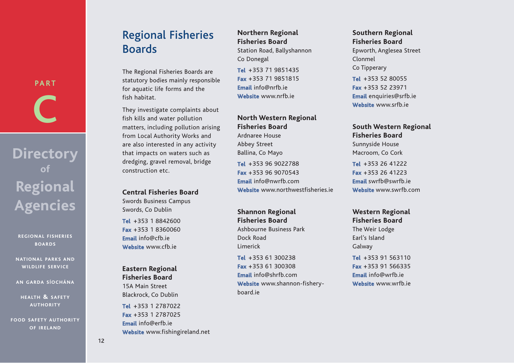# **Boards**

The Regional Fisheries Boards are statutory bodies mainly responsible for aquatic life forms and the fish habitat.

Regional Fisheries

They investigate complaints about fish kills and water pollution matters, including pollution arising from Local Authority Works and are also interested in any activity that impacts on waters such as dredging, gravel removal, bridge construction etc.

#### **Central Fisheries Board**

Swords Business Campus Swords, Co Dublin

**Tel** +353 1 8842600 **Fax** +353 1 8360060 **Email** info@cfb.ie **Website** www.cfb.ie

#### **Eastern Regional Fisheries Board**

15A Main Street Blackrock, Co Dublin **Tel** +353 1 2787022 **Fax** +353 1 2787025 **Email** info@erfb.ie **Website** www.fishingireland.net

#### **Northern Regional Fisheries Board**

Station Road, Ballyshannon Co Donegal

**Tel** +353 71 9851435 **Fax** +353 71 9851815 **Email** info@nrfb.ie **Website** www.nrfb.ie

#### **North Western Regional Fisheries Board**

Ardnaree House Abbey Street Ballina, Co Mayo

**Tel** +353 96 9022788 **Fax** +353 96 9070543 **Email** info@nwrfb.com **Website** www.northwestfisheries.ie

**Shannon Regional Fisheries Board** Ashbourne Business Park Dock Road Limerick

**Tel** +353 61 300238 **Fax** +353 61 300308 **Email** info@shrfb.com **Website** www.shannon-fisheryboard.ie

#### **Southern Regional Fisheries Board**

Epworth, Anglesea Street Clonmel Co Tipperary

**Tel** +353 52 80055 **Fax** +353 52 23971 **Email** enquiries@srfb.ie **Website** www.srfb.ie

#### **South Western Regional**

**Fisheries Board** Sunnyside House Macroom, Co Cork

**Tel** +353 26 41222 **Fax** +353 26 41223 **Email** swrfb@swrfb.ie **Website** www.swrfb.com

#### **Western Regional Fisheries Board** The Weir Lodge

Earl's Island Galway **Tel** +353 91 563110

**Fax** +353 91 566335 **Email** info@wrfb.ie **Website** www.wrfb.ie

# **C**

**PART**

## **Directory of Regional Agencies**

**REGIONAL FISHERIES BOARDS**

**NATIONAL PARKS AND WILDLIFE SERVICE**

**AN GARDA SÍOCHÁNA**

**HEALTH & SAFETY AUTHORITY**

**FOOD SAFETY AUTHORITY OF IRELAND**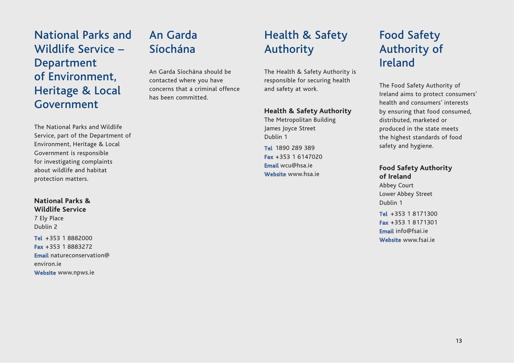## National Parks and Wildlife Service – Department of Environment, Heritage & Local Government

The National Parks and Wildlife Service, part of the Department of Environment, Heritage & Local Government is responsible for investigating complaints about wildlife and habitat protection matters.

#### **National Parks & Wildlife Service**

7 Ely Place Dublin 2 **Tel** +353 1 8882000 **Fax** +353 1 8883272 **Email** natureconservation@ environ.ie **Website** www.npws.ie

## An Garda Síochána

An Garda Síochána should be contacted where you have concerns that a criminal offence has been committed.

## Health & Safety Authority

The Health & Safety Authority is responsible for securing health and safety at work.

#### **Health & Safety Authority**

The Metropolitan Building James Joyce Street Dublin 1

**Tel** 1890 289 389 **Fax** +353 1 6147020 **Email** wcu@hsa.ie **Website** www.hsa.ie

## Food Safety Authority of Ireland

The Food Safety Authority of Ireland aims to protect consumers' health and consumers' interests by ensuring that food consumed, distributed, marketed or produced in the state meets the highest standards of food safety and hygiene.

#### **Food Safety Authority of Ireland**

Abbey Court Lower Abbey Street Dublin 1

**Tel** +353 1 8171300 **Fax** +353 1 8171301 **Email** info@fsai.ie **Website** www.fsai.ie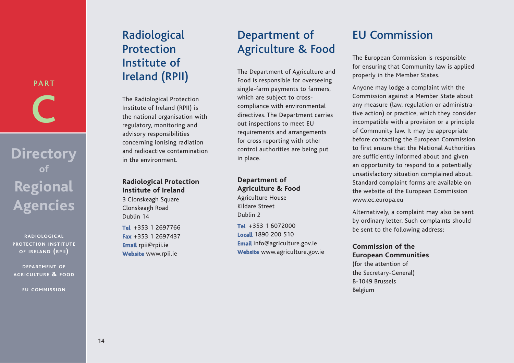# **PART C**

## **Directory of Regional Agencies**

**RADIOLOGICAL PROTECTION INSTITUTE OF IRELAND (RPII)**

**DEPARTMENT OF AGRICULTURE & FOOD**

**EU COMMISSION**

## Radiological **Protection** Institute of Ireland (RPII)

The Radiological Protection Institute of Ireland (RPII) is the national organisation with regulatory, monitoring and advisory responsibilities concerning ionising radiation and radioactive contamination in the environment.

#### **Radiological Protection Institute of Ireland** 3 Clonskeagh Square

Clonskeagh Road Dublin 14

**Tel** +353 1 2697766 **Fax** +353 1 2697437 **Email** rpii@rpii.ie **Website** www.rpii.ie

## Department of Agriculture & Food

The Department of Agriculture and Food is responsible for overseeing single-farm payments to farmers, which are subject to crosscompliance with environmental directives. The Department carries out inspections to meet EU requirements and arrangements for cross reporting with other control authorities are being put in place.

#### **Department of Agriculture & Food**

Agriculture House Kildare Street Dublin 2

**Tel** +353 1 6072000 **Locall** 1890 200 510 **Email** info@agriculture.gov.ie **Website** www.agriculture.gov.ie

## EU Commission

The European Commission is responsible for ensuring that Community law is applied properly in the Member States.

Anyone may lodge a complaint with the Commission against a Member State about any measure (law, regulation or administrative action) or practice, which they consider incompatible with a provision or a principle of Community law. It may be appropriate before contacting the European Commission to first ensure that the National Authorities are sufficiently informed about and given an opportunity to respond to a potentially unsatisfactory situation complained about. Standard complaint forms are available on the website of the European Commission www.ec.europa.eu

Alternatively, a complaint may also be sent by ordinary letter. Such complaints should be sent to the following address:

#### **Commission of the European Communities**

(for the attention of the Secretary-General) B-1049 Brussels Belgium